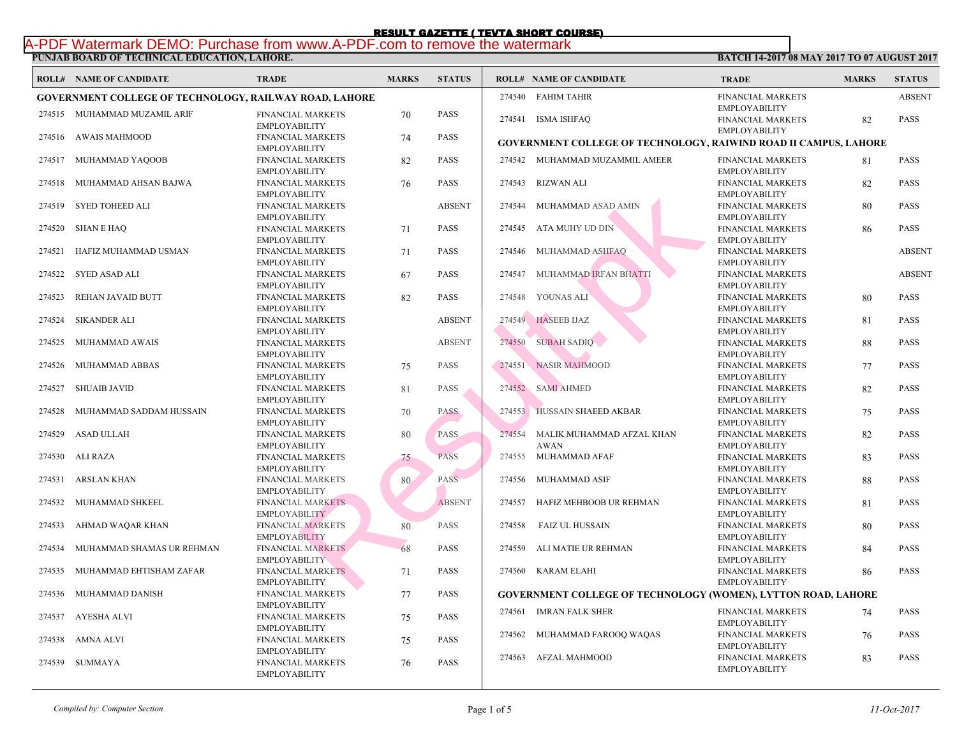**BATC** 

# **PUNJAB BOARD OF TECHNICAL EDUCATION, LAHORE.**  RESULT GAZETTE ( TEVTA SHORT COURSE)<br>A-PDF Watermark DEMO: Purchase from www.A-PDF.com to remove the watermark

|        | <b>ROLL# NAME OF CANDIDATE</b>                                | <b>TRADE</b>                                     | <b>MARKS</b> | <b>STATUS</b> | <b>ROLL# NAME OF CANDIDATE</b>                     | <b>TRA</b>                 |
|--------|---------------------------------------------------------------|--------------------------------------------------|--------------|---------------|----------------------------------------------------|----------------------------|
|        | <b>GOVERNMENT COLLEGE OF TECHNOLOGY, RAILWAY ROAD, LAHORE</b> |                                                  |              |               | 274540 FAHIM TAHIR                                 | <b>FINA</b>                |
|        | 274515 MUHAMMAD MUZAMIL ARIF                                  | FINANCIAL MARKETS<br><b>EMPLOYABILITY</b>        | 70           | PASS          | 274541 ISMA ISHFAQ                                 | <b>EMPL</b><br><b>FINA</b> |
| 274516 | AWAIS MAHMOOD                                                 | FINANCIAL MARKETS<br><b>EMPLOYABILITY</b>        | 74           | <b>PASS</b>   | <b>GOVERNMENT COLLEGE OF TECHNOLOGY, RAIW</b>      | <b>EMPL</b>                |
| 274517 | MUHAMMAD YAQOOB                                               | FINANCIAL MARKETS<br><b>EMPLOYABILITY</b>        | 82           | <b>PASS</b>   | 274542 MUHAMMAD MUZAMMIL AMEER                     | <b>FINA</b><br><b>EMPL</b> |
| 274518 | MUHAMMAD AHSAN BAJWA                                          | <b>FINANCIAL MARKETS</b><br><b>EMPLOYABILITY</b> | 76           | PASS          | 274543 RIZWAN ALI                                  | <b>FINA</b><br><b>EMPL</b> |
| 274519 | SYED TOHEED ALI                                               | <b>FINANCIAL MARKETS</b><br><b>EMPLOYABILITY</b> |              | <b>ABSENT</b> | 274544<br>MUHAMMAD ASAD AMIN                       | <b>FINA</b><br><b>EMPL</b> |
| 274520 | <b>SHAN E HAQ</b>                                             | FINANCIAL MARKETS<br><b>EMPLOYABILITY</b>        | 71           | <b>PASS</b>   | ATA MUHY UD DIN<br>274545                          | <b>FINA</b><br><b>EMPL</b> |
| 274521 | HAFIZ MUHAMMAD USMAN                                          | FINANCIAL MARKETS<br><b>EMPLOYABILITY</b>        | 71           | <b>PASS</b>   | MUHAMMAD ASHFAQ<br>274546                          | <b>FINA</b><br><b>EMPL</b> |
| 274522 | SYED ASAD ALI                                                 | <b>FINANCIAL MARKETS</b><br><b>EMPLOYABILITY</b> | 67           | <b>PASS</b>   | 274547 MUHAMMAD IRFAN BHATTI                       | <b>FINA</b><br><b>EMPL</b> |
| 274523 | REHAN JAVAID BUTT                                             | FINANCIAL MARKETS<br><b>EMPLOYABILITY</b>        | 82           | PASS          | 274548 YOUNAS ALI                                  | <b>FINA</b><br><b>EMPL</b> |
| 274524 | <b>SIKANDER ALI</b>                                           | FINANCIAL MARKETS<br><b>EMPLOYABILITY</b>        |              | <b>ABSENT</b> | 274549 HASEEB IJAZ                                 | <b>FINA</b><br><b>EMPL</b> |
| 274525 | MUHAMMAD AWAIS                                                | FINANCIAL MARKETS<br><b>EMPLOYABILITY</b>        |              | <b>ABSENT</b> | <b>SUBAH SADIQ</b><br>274550                       | <b>FINA</b><br><b>EMPL</b> |
| 274526 | MUHAMMAD ABBAS                                                | <b>FINANCIAL MARKETS</b><br><b>EMPLOYABILITY</b> | 75           | <b>PASS</b>   | <b>NASIR MAHMOOD</b><br>274551                     | <b>FINA</b><br><b>EMPL</b> |
| 274527 | <b>SHUAIB JAVID</b>                                           | FINANCIAL MARKETS<br><b>EMPLOYABILITY</b>        | 81           | PASS          | 274552 SAMI AHMED                                  | <b>FINA</b><br><b>EMPL</b> |
| 274528 | MUHAMMAD SADDAM HUSSAIN                                       | FINANCIAL MARKETS<br><b>EMPLOYABILITY</b>        | 70           | <b>PASS</b>   | 274553 HUSSAIN SHAEED AKBAR                        | <b>FINA</b><br><b>EMPL</b> |
| 274529 | ASAD ULLAH                                                    | FINANCIAL MARKETS<br><b>EMPLOYABILITY</b>        | 80           | PASS          | 274554<br>MALIK MUHAMMAD AFZAL KHAN<br><b>AWAN</b> | <b>FINA</b><br><b>EMPL</b> |
| 274530 | ALI RAZA                                                      | <b>FINANCIAL MARKETS</b><br><b>EMPLOYABILITY</b> | 75           | <b>PASS</b>   | 274555 MUHAMMAD AFAF                               | <b>FINA</b><br><b>EMPL</b> |
| 274531 | ARSLAN KHAN                                                   | <b>FINANCIAL MARKETS</b><br><b>EMPLOYABILITY</b> | 80           | <b>PASS</b>   | 274556<br>MUHAMMAD ASIF                            | <b>FINA</b><br><b>EMPL</b> |
|        | 274532 MUHAMMAD SHKEEL                                        | <b>FINANCIAL MARKETS</b><br><b>EMPLOYABILITY</b> |              | <b>ABSENT</b> | 274557 HAFIZ MEHBOOB UR REHMAN                     | <b>FINA</b><br><b>EMPL</b> |
| 274533 | AHMAD WAQAR KHAN                                              | <b>FINANCIAL MARKETS</b><br><b>EMPLOYABILITY</b> | 80           | <b>PASS</b>   | 274558<br>FAIZ UL HUSSAIN                          | <b>FINA</b><br><b>EMPL</b> |
| 274534 | MUHAMMAD SHAMAS UR REHMAN                                     | <b>FINANCIAL MARKETS</b><br><b>EMPLOYABILITY</b> | 68           | <b>PASS</b>   | 274559<br>ALI MATIE UR REHMAN                      | <b>FINA</b><br><b>EMPL</b> |
| 274535 | MUHAMMAD EHTISHAM ZAFAR                                       | <b>FINANCIAL MARKETS</b><br><b>EMPLOYABILITY</b> | 71           | PASS          | 274560 KARAM ELAHI                                 | <b>FINA</b><br><b>EMPL</b> |
| 274536 | MUHAMMAD DANISH                                               | <b>FINANCIAL MARKETS</b><br><b>EMPLOYABILITY</b> | 77           | PASS          | <b>GOVERNMENT COLLEGE OF TECHNOLOGY (WOM)</b>      |                            |
|        | 274537 AYESHA ALVI                                            | FINANCIAL MARKETS<br><b>EMPLOYABILITY</b>        | 75           | PASS          | 274561 IMRAN FALK SHER                             | <b>FINA</b><br><b>EMPL</b> |
| 274538 | AMNA ALVI                                                     | FINANCIAL MARKETS<br><b>EMPLOYABILITY</b>        | 75           | <b>PASS</b>   | MUHAMMAD FAROOQ WAQAS<br>274562                    | <b>FINA</b><br><b>EMPL</b> |
|        | 274539 SUMMAYA                                                | <b>FINANCIAL MARKETS</b><br><b>EMPLOYABILITY</b> | 76           | <b>PASS</b>   | 274563 AFZAL MAHMOOD                               | <b>FINA</b><br><b>EMPL</b> |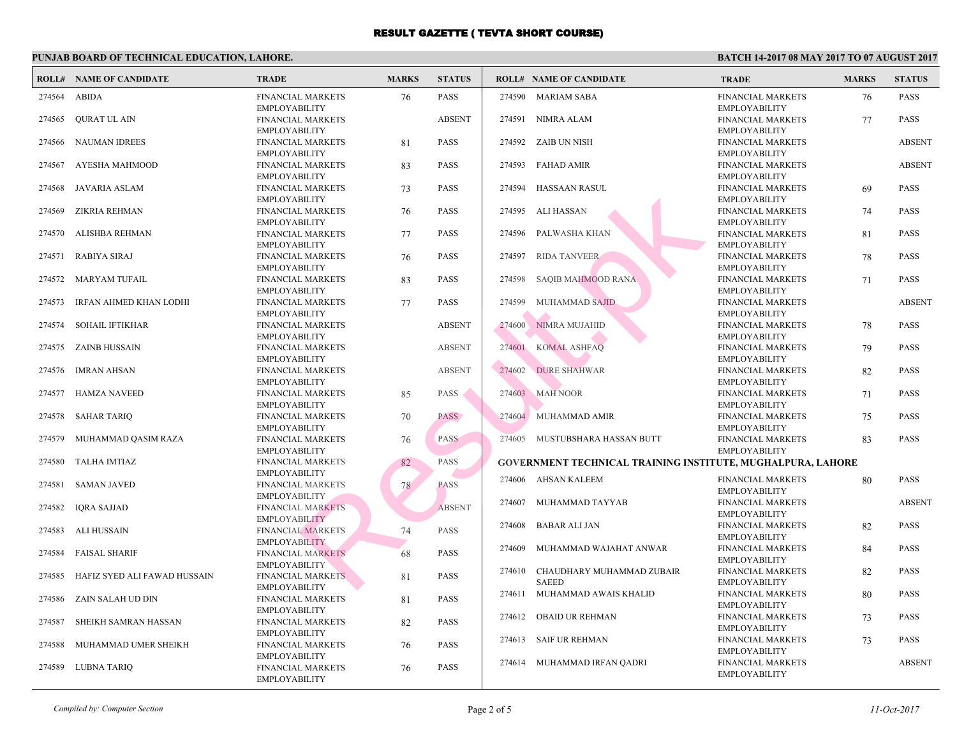| PUNJAB BOARD OF TECHNICAL EDUCATION, LAHORE. |                                |                                                                          |              |               |        |                                                 |                                           |  |  |
|----------------------------------------------|--------------------------------|--------------------------------------------------------------------------|--------------|---------------|--------|-------------------------------------------------|-------------------------------------------|--|--|
|                                              | <b>ROLL# NAME OF CANDIDATE</b> | <b>TRADE</b>                                                             | <b>MARKS</b> | <b>STATUS</b> |        | <b>ROLL# NAME OF CANDIDATE</b>                  | <b>TRA</b>                                |  |  |
| 274564                                       | ABIDA                          | <b>FINANCIAL MARKETS</b><br><b>EMPLOYABILITY</b>                         | 76           | <b>PASS</b>   |        | 274590 MARIAM SABA                              | <b>FINA</b><br><b>EMPL</b>                |  |  |
| 274565                                       | QURAT UL AIN                   | FINANCIAL MARKETS<br><b>EMPLOYABILITY</b>                                |              | <b>ABSENT</b> |        | 274591 NIMRA ALAM                               | <b>FINA</b><br><b>EMPL</b>                |  |  |
| 274566                                       | <b>NAUMAN IDREES</b>           | FINANCIAL MARKETS                                                        | 81           | <b>PASS</b>   |        | 274592 ZAIB UN NISH                             | <b>FINA</b>                               |  |  |
| 274567                                       | AYESHA MAHMOOD                 | <b>EMPLOYABILITY</b><br>FINANCIAL MARKETS                                | 83           | <b>PASS</b>   |        | 274593 FAHAD AMIR                               | <b>EMPL</b><br><b>FINA</b>                |  |  |
| 274568                                       | JAVARIA ASLAM                  | <b>EMPLOYABILITY</b><br>FINANCIAL MARKETS                                | 73           | <b>PASS</b>   | 274594 | HASSAAN RASUL                                   | <b>EMPL</b><br><b>FINA</b>                |  |  |
| 274569                                       | ZIKRIA REHMAN                  | <b>EMPLOYABILITY</b><br>FINANCIAL MARKETS<br><b>EMPLOYABILITY</b>        | 76           | <b>PASS</b>   | 274595 | ALI HASSAN                                      | <b>EMPL</b><br><b>FINA</b><br><b>EMPL</b> |  |  |
| 274570                                       | ALISHBA REHMAN                 | <b>FINANCIAL MARKETS</b><br><b>EMPLOYABILITY</b>                         | 77           | <b>PASS</b>   | 274596 | PALWASHA KHAN                                   | <b>FINA</b><br><b>EMPL</b>                |  |  |
| 274571                                       | <b>RABIYA SIRAJ</b>            | <b>FINANCIAL MARKETS</b><br><b>EMPLOYABILITY</b>                         | 76           | <b>PASS</b>   | 274597 | <b>RIDA TANVEER</b>                             | <b>FINA</b><br><b>EMPL</b>                |  |  |
| 274572                                       | MARYAM TUFAIL                  | FINANCIAL MARKETS<br><b>EMPLOYABILITY</b>                                | 83           | <b>PASS</b>   | 274598 | SAQIB MAHMOOD RANA                              | <b>FINA</b><br><b>EMPL</b>                |  |  |
| 274573                                       | IRFAN AHMED KHAN LODHI         | FINANCIAL MARKETS                                                        | 77           | <b>PASS</b>   | 274599 | MUHAMMAD SAJID                                  | <b>FINA</b>                               |  |  |
| 274574                                       | SOHAIL IFTIKHAR                | <b>EMPLOYABILITY</b><br><b>FINANCIAL MARKETS</b>                         |              | <b>ABSENT</b> | 274600 | NIMRA MUJAHID                                   | <b>EMPL</b><br><b>FINA</b>                |  |  |
| 274575                                       | ZAINB HUSSAIN                  | <b>EMPLOYABILITY</b><br><b>FINANCIAL MARKETS</b>                         |              | <b>ABSENT</b> | 274601 | <b>KOMAL ASHFAQ</b>                             | <b>EMPL</b><br><b>FINA</b>                |  |  |
| 274576                                       | IMRAN AHSAN                    | <b>EMPLOYABILITY</b><br>FINANCIAL MARKETS                                |              | <b>ABSENT</b> | 274602 | <b>DURE SHAHWAR</b>                             | <b>EMPL</b><br><b>FINA</b>                |  |  |
| 274577                                       | HAMZA NAVEED                   | <b>EMPLOYABILITY</b><br><b>FINANCIAL MARKETS</b>                         | 85           | PASS          |        | 274603 MAH NOOR                                 | <b>EMPL</b><br><b>FINA</b>                |  |  |
| 274578                                       | SAHAR TARIQ                    | <b>EMPLOYABILITY</b><br><b>FINANCIAL MARKETS</b>                         | 70           | <b>PASS</b>   |        | 274604 MUHAMMAD AMIR                            | <b>EMPL</b><br><b>FINA</b>                |  |  |
| 274579                                       | MUHAMMAD QASIM RAZA            | <b>EMPLOYABILITY</b><br><b>FINANCIAL MARKETS</b><br><b>EMPLOYABILITY</b> | 76           | <b>PASS</b>   |        | 274605 MUSTUBSHARA HASSAN BUTT                  | <b>EMPL</b><br><b>FINA</b><br><b>EMPL</b> |  |  |
| 274580                                       | TALHA IMTIAZ                   | FINANCIAL MARKETS                                                        | 82           | PASS          |        | <b>GOVERNMENT TECHNICAL TRAINING INSTITUTE,</b> |                                           |  |  |
| 274581                                       | <b>SAMAN JAVED</b>             | <b>EMPLOYABILITY</b><br><b>FINANCIAL MARKETS</b>                         | 78           | <b>PASS</b>   |        | 274606 AHSAN KALEEM                             | <b>FINA</b><br><b>EMPL</b>                |  |  |
| 274582                                       | <b>IQRA SAJJAD</b>             | <b>EMPLOYABILITY</b><br><b>FINANCIAL MARKETS</b>                         |              | <b>ABSENT</b> | 274607 | MUHAMMAD TAYYAB                                 | <b>FINA</b><br><b>EMPL</b>                |  |  |
| 274583                                       | ALI HUSSAIN                    | <b>EMPLOYABILITY</b><br><b>FINANCIAL MARKETS</b>                         | 74           | PASS          | 274608 | BABAR ALI JAN                                   | <b>FINA</b><br><b>EMPL</b>                |  |  |
| 274584                                       | FAISAL SHARIF                  | <b>EMPLOYABILITY</b><br><b>FINANCIAL MARKETS</b>                         | 68           | <b>PASS</b>   | 274609 | MUHAMMAD WAJAHAT ANWAR                          | <b>FINA</b><br><b>EMPL</b>                |  |  |
| 274585                                       | HAFIZ SYED ALI FAWAD HUSSAIN   | <b>EMPLOYABILITY</b><br><b>FINANCIAL MARKETS</b>                         | 81           | <b>PASS</b>   | 274610 | CHAUDHARY MUHAMMAD ZUBAIR<br><b>SAEED</b>       | <b>FINA</b><br><b>EMPL</b>                |  |  |
| 274586                                       | ZAIN SALAH UD DIN              | <b>EMPLOYABILITY</b><br>FINANCIAL MARKETS                                | 81           | <b>PASS</b>   | 274611 | MUHAMMAD AWAIS KHALID                           | <b>FINA</b><br><b>EMPL</b>                |  |  |
| 274587                                       | SHEIKH SAMRAN HASSAN           | <b>EMPLOYABILITY</b><br>FINANCIAL MARKETS                                | 82           | <b>PASS</b>   | 274612 | <b>OBAID UR REHMAN</b>                          | <b>FINA</b><br><b>EMPL</b>                |  |  |
| 274588                                       | MUHAMMAD UMER SHEIKH           | <b>EMPLOYABILITY</b><br>FINANCIAL MARKETS                                | 76           | <b>PASS</b>   |        | 274613 SAIF UR REHMAN                           | <b>FINA</b>                               |  |  |
| 274589                                       | LUBNA TARIQ                    | <b>EMPLOYABILITY</b><br>FINANCIAL MARKETS                                | 76           | <b>PASS</b>   |        | 274614 MUHAMMAD IRFAN QADRI                     | <b>EMPL</b><br><b>FINA</b><br><b>EMPL</b> |  |  |
|                                              |                                | <b>EMPLOYABILITY</b>                                                     |              |               |        |                                                 |                                           |  |  |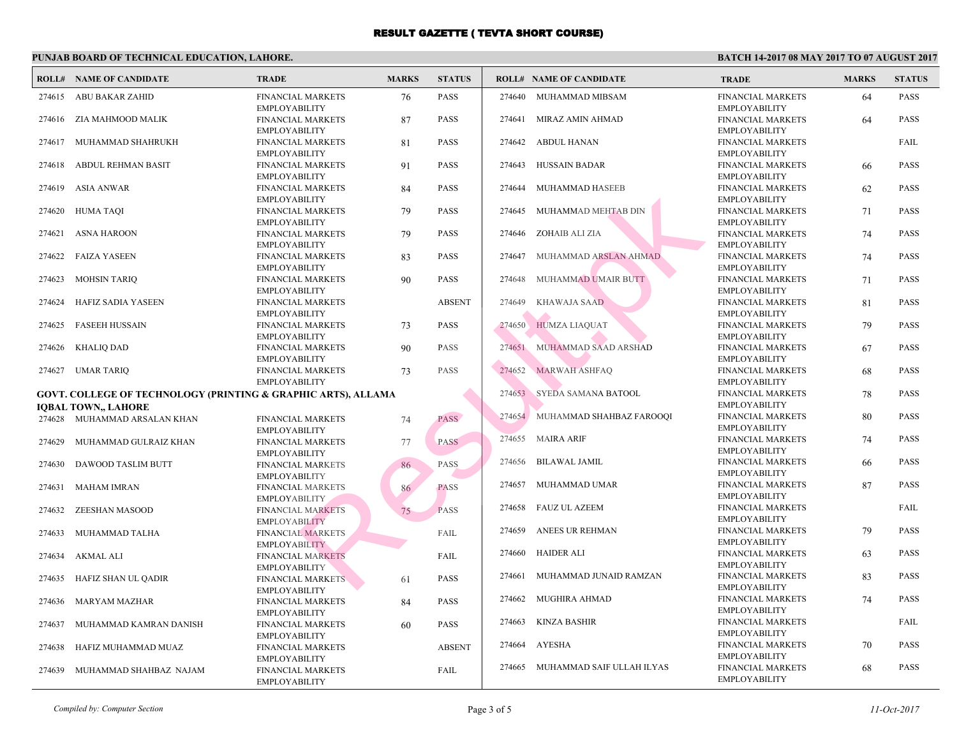|        | PUNJAB BOARD OF TECHNICAL EDUCATION, LAHORE.                  |                                                                   |              |               |        |                                 |                             |  |  |
|--------|---------------------------------------------------------------|-------------------------------------------------------------------|--------------|---------------|--------|---------------------------------|-----------------------------|--|--|
|        | <b>ROLL# NAME OF CANDIDATE</b>                                | <b>TRADE</b>                                                      | <b>MARKS</b> | <b>STATUS</b> |        | <b>ROLL# NAME OF CANDIDATE</b>  | <b>TRA</b>                  |  |  |
| 274615 | ABU BAKAR ZAHID                                               | <b>FINANCIAL MARKETS</b><br><b>EMPLOYABILITY</b>                  | 76           | <b>PASS</b>   | 274640 | MUHAMMAD MIBSAM                 | <b>FINAI</b><br><b>EMPL</b> |  |  |
| 274616 | ZIA MAHMOOD MALIK                                             | FINANCIAL MARKETS<br><b>EMPLOYABILITY</b>                         | 87           | PASS          | 274641 | MIRAZ AMIN AHMAD                | <b>FINA</b><br><b>EMPL</b>  |  |  |
| 274617 | MUHAMMAD SHAHRUKH                                             | <b>FINANCIAL MARKETS</b><br><b>EMPLOYABILITY</b>                  | 81           | PASS          | 274642 | ABDUL HANAN                     | FINAI<br><b>EMPL</b>        |  |  |
| 274618 | ABDUL REHMAN BASIT                                            | <b>FINANCIAL MARKETS</b><br><b>EMPLOYABILITY</b>                  | 91           | <b>PASS</b>   | 274643 | HUSSAIN BADAR                   | <b>FINA</b><br><b>EMPL</b>  |  |  |
| 274619 | <b>ASIA ANWAR</b>                                             | <b>FINANCIAL MARKETS</b><br><b>EMPLOYABILITY</b>                  | 84           | PASS          | 274644 | MUHAMMAD HASEEB                 | <b>FINA</b><br><b>EMPL</b>  |  |  |
| 274620 | HUMA TAQI                                                     | <b>FINANCIAL MARKETS</b><br><b>EMPLOYABILITY</b>                  | 79           | PASS          | 274645 | MUHAMMAD MEHTAB DIN             | <b>FINAI</b><br><b>EMPL</b> |  |  |
| 274621 | <b>ASNA HAROON</b>                                            | FINANCIAL MARKETS<br><b>EMPLOYABILITY</b>                         | 79           | <b>PASS</b>   | 274646 | ZOHAIB ALI ZIA                  | <b>FINAI</b><br><b>EMPL</b> |  |  |
| 274622 | <b>FAIZA YASEEN</b>                                           | FINANCIAL MARKETS<br><b>EMPLOYABILITY</b>                         | 83           | PASS          | 274647 | MUHAMMAD ARSLAN AHMAD           | <b>FINA</b><br><b>EMPL</b>  |  |  |
| 274623 | <b>MOHSIN TARIQ</b>                                           | FINANCIAL MARKETS<br><b>EMPLOYABILITY</b>                         | 90           | <b>PASS</b>   | 274648 | MUHAMMAD UMAIR BUTT             | <b>FINAI</b><br><b>EMPL</b> |  |  |
| 274624 | HAFIZ SADIA YASEEN                                            | <b>FINANCIAL MARKETS</b><br><b>EMPLOYABILITY</b>                  |              | <b>ABSENT</b> | 274649 | KHAWAJA SAAD                    | <b>FINAI</b><br><b>EMPL</b> |  |  |
| 274625 | <b>FASEEH HUSSAIN</b>                                         | <b>FINANCIAL MARKETS</b><br><b>EMPLOYABILITY</b>                  | 73           | <b>PASS</b>   | 274650 | <b>HUMZA LIAQUAT</b>            | <b>FINA</b><br><b>EMPL</b>  |  |  |
| 274626 | <b>KHALIQ DAD</b>                                             | <b>FINANCIAL MARKETS</b><br><b>EMPLOYABILITY</b>                  | 90           | <b>PASS</b>   | 274651 | MUHAMMAD SAAD ARSHAD            | <b>FINAI</b><br><b>EMPL</b> |  |  |
|        | 274627 UMAR TARIO                                             | <b>FINANCIAL MARKETS</b><br><b>EMPLOYABILITY</b>                  | 73           | PASS          | 274652 | <b>MARWAH ASHFAQ</b>            | <b>FINAI</b><br><b>EMPL</b> |  |  |
|        | GOVT. COLLEGE OF TECHNOLOGY (PRINTING & GRAPHIC ARTS), ALLAMA |                                                                   |              |               |        | 274653 SYEDA SAMANA BATOOL      | <b>FINA</b>                 |  |  |
|        | IQBAL TOWN., LAHORE                                           |                                                                   |              |               |        |                                 | <b>EMPL</b>                 |  |  |
|        | 274628 MUHAMMAD ARSALAN KHAN                                  | FINANCIAL MARKETS<br><b>EMPLOYABILITY</b>                         | 74           | <b>PASS</b>   |        | 274654 MUHAMMAD SHAHBAZ FAROOQI | <b>FINA</b><br><b>EMPL</b>  |  |  |
| 274629 | MUHAMMAD GULRAIZ KHAN                                         | FINANCIAL MARKETS<br><b>EMPLOYABILITY</b>                         | 77           | <b>PASS</b>   |        | 274655 MAIRA ARIF               | <b>FINAI</b><br><b>EMPL</b> |  |  |
| 274630 | DAWOOD TASLIM BUTT                                            | <b>FINANCIAL MARKETS</b><br><b>EMPLOYABILITY</b>                  | 86           | <b>PASS</b>   | 274656 | BILAWAL JAMIL                   | <b>FINAI</b><br><b>EMPL</b> |  |  |
| 274631 | MAHAM IMRAN                                                   | <b>FINANCIAL MARKETS</b><br><b>EMPLOYABILITY</b>                  | 86           | <b>PASS</b>   | 274657 | MUHAMMAD UMAR                   | <b>FINAI</b><br><b>EMPL</b> |  |  |
| 274632 | ZEESHAN MASOOD                                                | <b>FINANCIAL MARKETS</b><br><b>EMPLOYABILITY</b>                  | 75           | <b>PASS</b>   | 274658 | FAUZ UL AZEEM                   | <b>FINA</b><br><b>EMPL</b>  |  |  |
| 274633 | MUHAMMAD TALHA                                                | <b>FINANCIAL MARKETS</b><br><b>EMPLOYABILITY</b>                  |              | FAIL          | 274659 | ANEES UR REHMAN                 | <b>FINAI</b><br><b>EMPL</b> |  |  |
| 274634 | AKMAL ALI                                                     | <b>FINANCIAL MARKETS</b><br><b>EMPLOYABILITY</b>                  |              | FAIL          | 274660 | <b>HAIDER ALI</b>               | <b>FINA</b><br><b>EMPL</b>  |  |  |
| 274635 | HAFIZ SHAN UL QADIR                                           | <b>FINANCIAL MARKETS</b>                                          | 61           | PASS          | 274661 | MUHAMMAD JUNAID RAMZAN          | <b>FINAI</b><br><b>EMPL</b> |  |  |
| 274636 | <b>MARYAM MAZHAR</b>                                          | <b>EMPLOYABILITY</b><br><b>FINANCIAL MARKETS</b>                  | 84           | PASS          | 274662 | MUGHIRA AHMAD                   | <b>FINAI</b><br><b>EMPL</b> |  |  |
| 274637 | MUHAMMAD KAMRAN DANISH                                        | <b>EMPLOYABILITY</b><br><b>FINANCIAL MARKETS</b>                  | 60           | PASS          | 274663 | KINZA BASHIR                    | <b>FINAI</b><br><b>EMPL</b> |  |  |
| 274638 | HAFIZ MUHAMMAD MUAZ                                           | <b>EMPLOYABILITY</b><br><b>FINANCIAL MARKETS</b>                  |              | <b>ABSENT</b> | 274664 | AYESHA                          | FINAI<br><b>EMPL</b>        |  |  |
| 274639 | MUHAMMAD SHAHBAZ NAJAM                                        | <b>EMPLOYABILITY</b><br>FINANCIAL MARKETS<br><b>EMPLOYABILITY</b> |              | <b>FAIL</b>   | 274665 | MUHAMMAD SAIF ULLAH ILYAS       | <b>FINA</b><br><b>EMPL</b>  |  |  |
|        |                                                               |                                                                   |              |               |        |                                 |                             |  |  |

*Compiled by: Computer Section* Page 3 of 5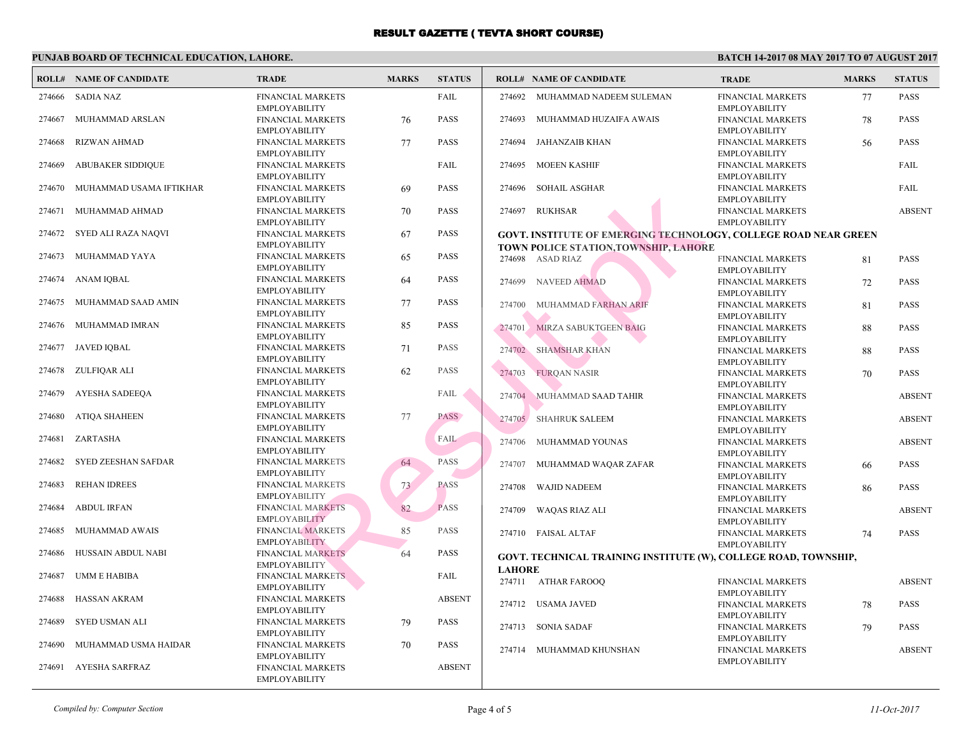**BATC** 

# **PUNJAB BOARD OF TECHNICAL EDUCATION, LAHORE.**

|        | <b>ROLL# NAME OF CANDIDATE</b> | <b>TRADE</b>                                     | <b>MARKS</b> | <b>STATUS</b> |               | <b>ROLL# NAME OF CANDIDATE</b>                            | <b>TRA</b>                 |
|--------|--------------------------------|--------------------------------------------------|--------------|---------------|---------------|-----------------------------------------------------------|----------------------------|
| 274666 | <b>SADIA NAZ</b>               | FINANCIAL MARKETS<br><b>EMPLOYABILITY</b>        |              | FAIL          | 274692        | MUHAMMAD NADEEM SULEMAN                                   | <b>FINA</b><br><b>EMPL</b> |
| 274667 | MUHAMMAD ARSLAN                | <b>FINANCIAL MARKETS</b><br><b>EMPLOYABILITY</b> | 76           | <b>PASS</b>   | 274693        | MUHAMMAD HUZAIFA AWAIS                                    | <b>FINA</b><br><b>EMPL</b> |
| 274668 | <b>RIZWAN AHMAD</b>            | FINANCIAL MARKETS<br><b>EMPLOYABILITY</b>        | 77           | <b>PASS</b>   | 274694        | JAHANZAIB KHAN                                            | <b>FINA</b><br><b>EMPL</b> |
| 274669 | <b>ABUBAKER SIDDIQUE</b>       | <b>FINANCIAL MARKETS</b><br><b>EMPLOYABILITY</b> |              | FAIL          | 274695        | <b>MOEEN KASHIF</b>                                       | <b>FINA</b><br><b>EMPL</b> |
| 274670 | MUHAMMAD USAMA IFTIKHAR        | <b>FINANCIAL MARKETS</b><br><b>EMPLOYABILITY</b> | 69           | <b>PASS</b>   | 274696        | SOHAIL ASGHAR                                             | <b>FINA</b><br><b>EMPL</b> |
| 274671 | MUHAMMAD AHMAD                 | <b>FINANCIAL MARKETS</b><br><b>EMPLOYABILITY</b> | 70           | <b>PASS</b>   | 274697        | RUKHSAR                                                   | <b>FINA</b><br><b>EMPL</b> |
| 274672 | SYED ALI RAZA NAQVI            | <b>FINANCIAL MARKETS</b><br><b>EMPLOYABILITY</b> | 67           | <b>PASS</b>   |               | <b>GOVT. INSTITUTE OF EMERGING TECHNOLOGY, C</b>          |                            |
| 274673 | MUHAMMAD YAYA                  | <b>FINANCIAL MARKETS</b><br><b>EMPLOYABILITY</b> | 65           | <b>PASS</b>   |               | TOWN POLICE STATION, TOWNSHIP, LAHORE<br>274698 ASAD RIAZ | <b>FINA</b>                |
| 274674 | ANAM IQBAL                     | <b>FINANCIAL MARKETS</b><br><b>EMPLOYABILITY</b> | 64           | <b>PASS</b>   | 274699        | NAVEED AHMAD                                              | <b>EMPL</b><br><b>FINA</b> |
| 274675 | MUHAMMAD SAAD AMIN             | <b>FINANCIAL MARKETS</b><br><b>EMPLOYABILITY</b> | 77           | <b>PASS</b>   | 274700        | MUHAMMAD FARHAN ARIF                                      | <b>EMPL</b><br><b>FINA</b> |
| 274676 | MUHAMMAD IMRAN                 | <b>FINANCIAL MARKETS</b><br><b>EMPLOYABILITY</b> | 85           | <b>PASS</b>   | 274701        | MIRZA SABUKTGEEN BAIG                                     | <b>EMPL</b><br><b>FINA</b> |
| 274677 | <b>JAVED IQBAL</b>             | <b>FINANCIAL MARKETS</b><br><b>EMPLOYABILITY</b> | 71           | <b>PASS</b>   |               | 274702 SHAMSHAR KHAN                                      | <b>EMPL</b><br><b>FINA</b> |
| 274678 | ZULFIQAR ALI                   | <b>FINANCIAL MARKETS</b><br><b>EMPLOYABILITY</b> | 62           | <b>PASS</b>   | 274703        | <b>FURQAN NASIR</b>                                       | <b>EMPL</b><br><b>FINA</b> |
| 274679 | AYESHA SADEEQA                 | FINANCIAL MARKETS<br><b>EMPLOYABILITY</b>        |              | FAIL          | 274704        | MUHAMMAD SAAD TAHIR                                       | <b>EMPL</b><br><b>FINA</b> |
| 274680 | <b>ATIQA SHAHEEN</b>           | <b>FINANCIAL MARKETS</b><br><b>EMPLOYABILITY</b> | 77           | <b>PASS</b>   |               | 274705 SHAHRUK SALEEM                                     | <b>EMPL</b><br><b>FINA</b> |
| 274681 | ZARTASHA                       | FINANCIAL MARKETS<br><b>EMPLOYABILITY</b>        |              | FAIL          | 274706        | MUHAMMAD YOUNAS                                           | <b>EMPL</b><br><b>FINA</b> |
| 274682 | SYED ZEESHAN SAFDAR            | <b>FINANCIAL MARKETS</b><br><b>EMPLOYABILITY</b> | 64           | PASS          | 274707        | MUHAMMAD WAQAR ZAFAR                                      | <b>EMPL</b><br><b>FINA</b> |
| 274683 | <b>REHAN IDREES</b>            | <b>FINANCIAL MARKETS</b><br><b>EMPLOYABILITY</b> | 73           | <b>PASS</b>   | 274708        | WAJID NADEEM                                              | <b>EMPL</b><br><b>FINA</b> |
| 274684 | <b>ABDUL IRFAN</b>             | <b>FINANCIAL MARKETS</b><br><b>EMPLOYABILITY</b> | 82           | <b>PASS</b>   | 274709        | <b>WAQAS RIAZ ALI</b>                                     | <b>EMPL</b><br><b>FINA</b> |
| 274685 | MUHAMMAD AWAIS                 | <b>FINANCIAL MARKETS</b><br><b>EMPLOYABILITY</b> | 85           | <b>PASS</b>   |               | 274710 FAISAL ALTAF                                       | <b>EMPL</b><br><b>FINA</b> |
| 274686 | HUSSAIN ABDUL NABI             | <b>FINANCIAL MARKETS</b><br><b>EMPLOYABILITY</b> | 64           | <b>PASS</b>   |               | GOVT. TECHNICAL TRAINING INSTITUTE (W), COL               | <b>EMPL</b>                |
| 274687 | UMM E HABIBA                   | <b>FINANCIAL MARKETS</b><br><b>EMPLOYABILITY</b> |              | FAIL          | <b>LAHORE</b> | 274711 ATHAR FAROOQ                                       | <b>FINA</b>                |
| 274688 | <b>HASSAN AKRAM</b>            | <b>FINANCIAL MARKETS</b><br><b>EMPLOYABILITY</b> |              | <b>ABSENT</b> | 274712        | USAMA JAVED                                               | <b>EMPL</b><br><b>FINA</b> |
| 274689 | <b>SYED USMAN ALI</b>          | FINANCIAL MARKETS                                | 79           | <b>PASS</b>   | 274713        | SONIA SADAF                                               | <b>EMPL</b><br><b>FINA</b> |
| 274690 | MUHAMMAD USMA HAIDAR           | <b>EMPLOYABILITY</b><br><b>FINANCIAL MARKETS</b> | 70           | <b>PASS</b>   |               | 274714 MUHAMMAD KHUNSHAN                                  | <b>EMPL</b><br><b>FINA</b> |
| 274691 | AYESHA SARFRAZ                 | <b>EMPLOYABILITY</b><br><b>FINANCIAL MARKETS</b> |              | <b>ABSENT</b> |               |                                                           | <b>EMPL</b>                |
|        |                                | <b>EMPLOYABILITY</b>                             |              |               |               |                                                           |                            |